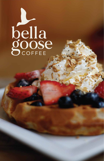# bella<br>goose

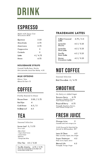# DRINK

# **ESPRESSO**

Made with Sassy Cow Wisconsin Milk

| <b>Espresso</b> | 2.25     |
|-----------------|----------|
| Macchiato       | 2.75     |
| Americano       | 2.75     |
| Cappuccino      | 3        |
| Cortado         | 3        |
| Latte           | 4 / 4.75 |
| Breve           | 4.75     |

# **HOUSEMADE SYRUPS**

Caramel, Vanilla Bean, Mocha, Mint, Lavender, Local Raw Honey +.50

# **MILK OPTIONS**

Whole / Skim Almond & Oat +.75

# **COFFEE**

Freshly Roasted in House

| <b>House Brew</b>  | 3.00 / 3.75 |
|--------------------|-------------|
| <b>Red Eye</b>     | 4           |
| <b>Cold Brew</b>   | 4.5 / 5     |
| <b>Bulletproof</b> | 4.5         |

# **TRADEMARK LATTES**

| <b>Salted Caramel</b><br>Latte | 4.75 / 5.5 |
|--------------------------------|------------|
| Lavender<br>Mocha              | 4.5 / 5.25 |
| Lavender<br>Mint Latte         | 4.5 / 5.25 |
| Vanilla<br><b>Bean Latte</b>   | 4.5 / 5.25 |
| Honey<br>Cinnamon Latte        | 4.5 / 5.25 |

# **NOT COFFEE**

Seasonal Selection

Hot Chocolate 4 / 4.75

# **SMOOTHIE**

No Dairy or Added Sugar

**Banana Berry**  $6.75$ Strawberry, Blueberry, Banana, Fresh Pressed Orange Juice

 $6.75$ **Tropical Berry** 

Pineapple, Strawberry, Banana, Fresh Pressed Orange Juice

# **FRESH JUICE**

Seasonal Selection

Loose Leaf  $3 / 3.75$ Hot or Iced

- House Blend

TEA

- Organic Black Yuunan
- Jasmine Green
- Earl Grey
- Pomegranate White

### $4.5 / 5.25$ Chai Tea

 $4.75 / 5.75$ Vanilla Matcha Green tea matcha latte handcrafted with house-made vanilla syrup

### 5 **Orange Juice** Unpasteurized fresh orange juice

Cold Pressed & Bottled by Juiced in Milwaukee, WI

Lean & Clean  $4.5$ Kale, Cucumber, Apple, Lime, Ginger

 $4.5$ Super Destroyer Beet, Carrot, Apple, Lemon

 $4.5$ Eternal Life Pineapple, Orange, Ginger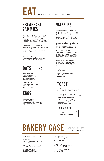Biscuits & Gravy 9 Freshly baked buttermilk biscuits topped with our housemade sausage gravy.

# **OATS**

# BREAKFAST SAMMIES

# WAFFLES

### Bella Goose Classic 12

Made to order spelt waffle topped with fresh strawberries, blueberries, toasted pecans, homemade granola, organic maple syrup, & fresh whipped cream.

### Lemon Blueberry Waffle 11

Made to order spelt waffle topped with fresh blueberries, bright lemon drizzle glaze, and powdered sugar.

Chocolate Covered Strawberry Waffle 12

Yogurt Parfait 5 Honey vanilla greek yogurt with our housemade granola.

Made to order spelt and chocolate waffle topped with fresh strawberries, fresh whipped cream, and drizzled in our house-made chocolate sauce.

Build Your Own Waffle 12 Made to order spelt waffle with organic maple syrup, topped with your choice of three of the following:

- Fresh Strawberries
- Blueberries
- Toasted Pecans
- Homemade Granola
- Fresh Wisconsin Whipped Cream
- Housemade Chocolate Sauce - Powdered Sugar

*Add fresh strawberries & blueberries for +1.50*

Trademark Scone 4.5 Assorted flavors change daily *All flavors are GF*

Granola & Milk 4 Housemade granola with your choice of milk.

Buttermilk Biscuit 3 With choice of honey butter or cream cheese chive spread

*+.50 for oat / almond*

*Gluten Sensitive Available +\$2*

# TOAST

Sweet Breads 3 Assorted flavors change daily

# EGGS

Dee's Oatmeal 2 Cookie

### Sausage & Egg Breakfast Wrap 9 Local breakfast sausage wrapped with

eggs and cheddar cheese in a grilled tortilla.

A LA CART





### Vegan Roasted Carrot Avocado Toast 10

Housemade roasted carrot hummus, alfalfa sprouts, avocado sauce, fresh orange and spiced chickpeas served on toasted vegan harvest bread. *\*Contains nuts* Add a fried egg for +1.50

*Fresh breads from local partner, Great Harvest Bread Company*

### Feta Spinach Sammie 6.5

Breakfast sandwich with baked egg, fresh spinach, cucumbers, housemade whipped feta cheese and sprinkled in cayenne pepper, served on our housemade buttermilk biscuit.

### Cheddar Bacon Sammie 7

EAT *Monday-Thursdays 7am-2pm*

Breakfast sandwich with baked egg, cheddar cheese, two strips of crispy bacon, and spicy pepper jelly, served on our housemade buttermilk biscuit.

Biscuit Cinnamon Roll 4.5 Topped with housemade cream cheese frosting

The Brady 2.5 DF & GF Chocolate Chip Cookie

# BAKERY CASE *Serving until we sell out each day*

Protein Bites Oats, Flax seeds, Natural Peanut Butter, Local Raw Honey, DF/GF chocolate chips

1 for 1.75 3 for 4.5 Dozen for 15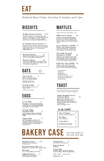Trademark Scone 4.5 Assorted flavors change daily *All flavors are GF*

Biscuit Cinnamon Roll 4.5 Topped with housemade cream cheese frosting Dee's Oatmeal 2 Cookie

The Brady 2.5 DF & GF Chocolate Chip Cookie

Buttermilk Biscuit 3 With choice of honey butter or cream cheese chive spread

Biscuits & Gravy 9 Freshly baked buttermilk biscuits topped with our housemade sausage gravy.

> Sweet Breads 3 Assorted flavors change daily

Protein Bites Oats, Flax seeds, Natural Peanut Butter, Local Raw Honey, DF/GF chocolate chips

1 for 1.75 3 for 4.5 Dozen for 15

Farmer's Benny 12 Open faced buttermilk biscuit topped with crispy bacon, two eggs over medium, and housemade sausage gravy.

# BISCUITS

# WAFFLES

*Weekend Menu Friday, Saturday & Sundays until 2pm*

### Bella Goose Classic 12 Made to order spelt waffle topped

Yogurt Parfait 5 Honey vanilla greek yogurt with our housemade granola.

with fresh strawberries, blueberries, toasted pecans, homemade granola, organic maple syrup, & fresh whipped cream.

# BAKERY CASE *Serving until we sell out each day*

Lemon Blueberry Waffle 11

### Sausage & Egg Breakfast Wrap 9

Made to order spelt waffle topped with fresh blueberries, bright lemon drizzle glaze, and powdered sugar.

### Chocolate Covered Strawberry Waffle 12

Made to order spelt and chocolate waffle topped with fresh strawberries, fresh whipped cream, and drizzled in our house-made chocolate sauce.

| Side of Potatoes<br>Cooked in a Rosemary Garlic Oil | з |  |
|-----------------------------------------------------|---|--|
|                                                     |   |  |
| Two Eggs                                            | 3 |  |

Build Your Own Waffle 12 Made to order spelt waffle with organic maple syrup, topped with your choice of three of the following:

- Fresh Strawberries
- Blueberries
- Toasted Pecans
- Homemade Granola
- Fresh Wisconsin Whipped Cream
- Housemade Chocolate Sauce - Powdered Sugar

*Add fresh strawberries & blueberries for +1.50*

Granola & Milk 4 Housemade granola with your choice of milk.

*+.50 for oat / almond*

*Gluten Sensitive Available +\$2*

# TOAST

EAT

# EGGS

### Sunrise Plate 11

Two eggs your way, two slices of local crispy bacon or one local sausage patty, housemade red russet breakfast potatoes, served with a 16 oz house brew.

Local breakfast sausage wrapped with eggs and cheddar cheese in a grilled tortilla.

### Veggie Bowl 11

| <b>Aeddie DOMI</b>                     | . . |
|----------------------------------------|-----|
| Red russet potatoes seasoned with      |     |
| rosemary & garlic, tomatoes, spinach,  |     |
| mushrooms, broccoli, two eggs your way |     |
| and topped with house-made vegan       |     |
| avocado sauce.                         |     |

## A LA CART

| Fried or Scrambled       |   |
|--------------------------|---|
| <b>Crispy Bacon</b>      | 3 |
| <b>Breakfast Sausage</b> | 3 |

G F

# **OATS**

### Vegan Roasted Carrot Avocado Toast 10

Housemade roasted carrot hummus, alfalfa sprouts, avocado sauce, fresh orange and spiced chickpeas served on toasted vegan harvest bread. *\*Contains nuts* Add a fried egg for +1.50

*Fresh breads from local partner, Great Harvest Bread Company*

### XL Feta Spinach Sammie 6.5

Breakfast sandwich with baked egg, fresh spinach, cucumbers, housemade whipped feta cheese and sprinkled in cayenne pepper, served on our housemade buttermilk biscuit.

### XL Cheddar Bacon Sammie 7

Breakfast sandwich with baked egg, cheddar cheese, two strips of crispy bacon, and spicy pepper jelly, served on our housemade buttermilk biscuit.